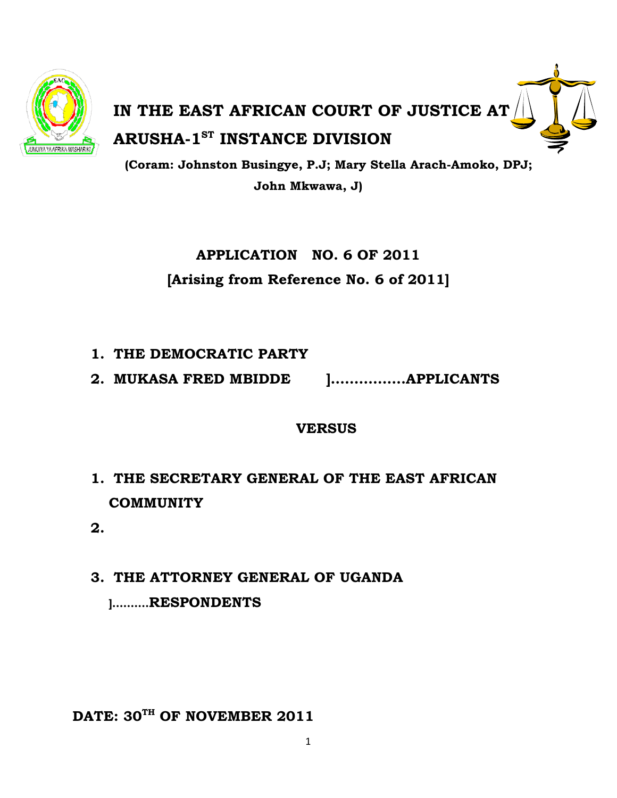

# **IN THE EAST AFRICAN COURT OF JUSTICE AT ARUSHA-1<sup>st</sup> INSTANCE DIVISION**

**(Coram: Johnston Busingye, P.J; Mary Stella Arach-Amoko, DPJ; John Mkwawa, J)** 

> **APPLICATION NO. 6 OF 2011 [Arising from Reference No. 6 of 2011]**

- **1. THE DEMOCRATIC PARTY**
- **2. MUKASA FRED MBIDDE ]…………….APPLICANTS**

# **VERSUS**

- **1. THE SECRETARY GENERAL OF THE EAST AFRICAN COMMUNITY**
- **2.**
- **3. THE ATTORNEY GENERAL OF UGANDA ]……….RESPONDENTS**

DATE: 30<sup>TH</sup> OF NOVEMBER 2011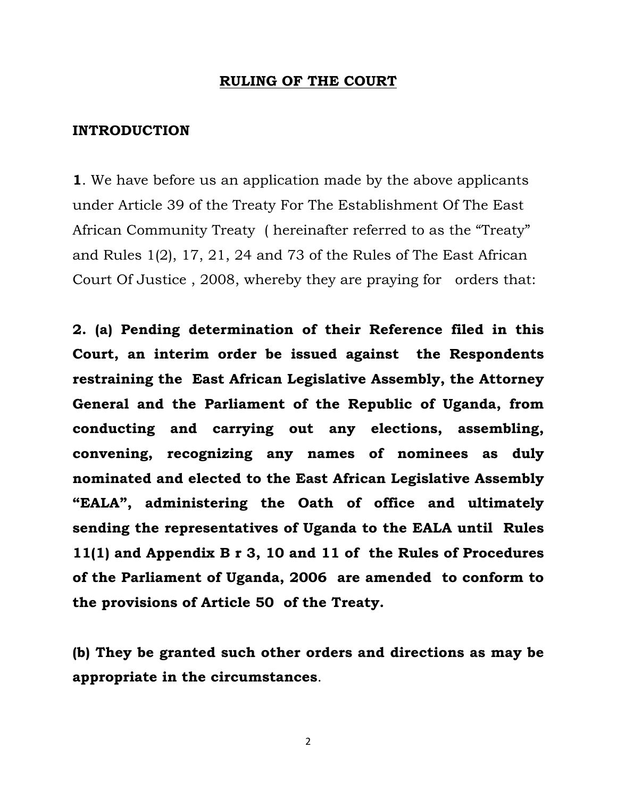#### **RULING OF THE COURT**

#### **INTRODUCTION**

**1**. We have before us an application made by the above applicants under Article 39 of the Treaty For The Establishment Of The East African Community Treaty ( hereinafter referred to as the "Treaty" and Rules 1(2), 17, 21, 24 and 73 of the Rules of The East African Court Of Justice , 2008, whereby they are praying for orders that:

**2. (a) Pending determination of their Reference filed in this Court, an interim order be issued against the Respondents restraining the East African Legislative Assembly, the Attorney General and the Parliament of the Republic of Uganda, from conducting and carrying out any elections, assembling, convening, recognizing any names of nominees as duly nominated and elected to the East African Legislative Assembly "EALA", administering the Oath of office and ultimately sending the representatives of Uganda to the EALA until Rules 11(1) and Appendix B r 3, 10 and 11 of the Rules of Procedures of the Parliament of Uganda, 2006 are amended to conform to the provisions of Article 50 of the Treaty.** 

**(b) They be granted such other orders and directions as may be appropriate in the circumstances**.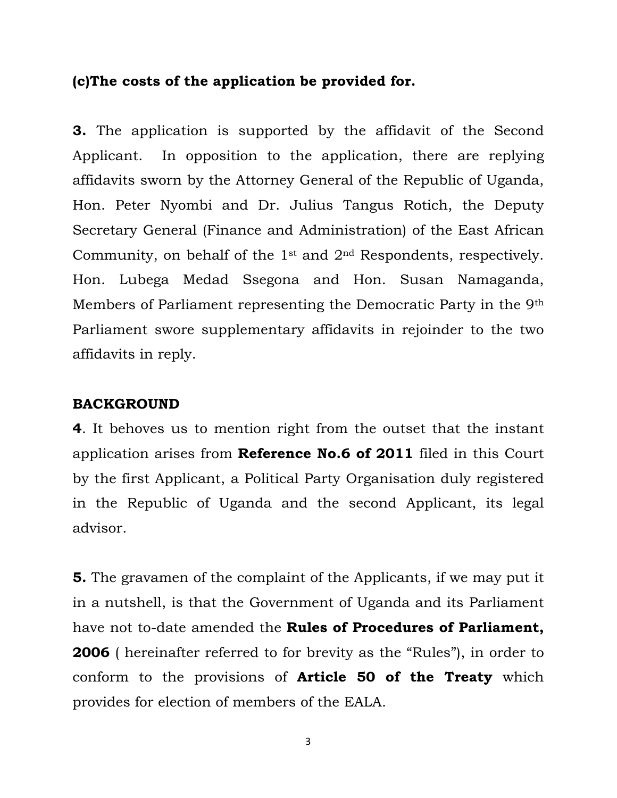## **(c)The costs of the application be provided for.**

**3.** The application is supported by the affidavit of the Second Applicant. In opposition to the application, there are replying affidavits sworn by the Attorney General of the Republic of Uganda, Hon. Peter Nyombi and Dr. Julius Tangus Rotich, the Deputy Secretary General (Finance and Administration) of the East African Community, on behalf of the 1st and 2nd Respondents, respectively. Hon. Lubega Medad Ssegona and Hon. Susan Namaganda, Members of Parliament representing the Democratic Party in the 9th Parliament swore supplementary affidavits in rejoinder to the two affidavits in reply.

## **BACKGROUND**

**4**. It behoves us to mention right from the outset that the instant application arises from **Reference No.6 of 2011** filed in this Court by the first Applicant, a Political Party Organisation duly registered in the Republic of Uganda and the second Applicant, its legal advisor.

**5.** The gravamen of the complaint of the Applicants, if we may put it in a nutshell, is that the Government of Uganda and its Parliament have not to-date amended the **Rules of Procedures of Parliament, 2006** ( hereinafter referred to for brevity as the "Rules"), in order to conform to the provisions of **Article 50 of the Treaty** which provides for election of members of the EALA.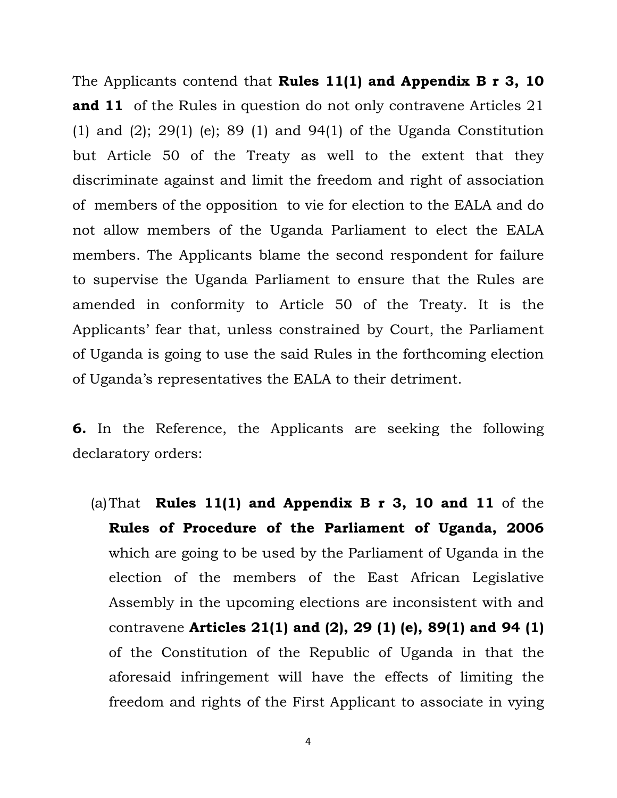The Applicants contend that **Rules 11(1) and Appendix B r 3, 10 and 11** of the Rules in question do not only contravene Articles 21 (1) and (2); 29(1) (e); 89 (1) and 94(1) of the Uganda Constitution but Article 50 of the Treaty as well to the extent that they discriminate against and limit the freedom and right of association of members of the opposition to vie for election to the EALA and do not allow members of the Uganda Parliament to elect the EALA members. The Applicants blame the second respondent for failure to supervise the Uganda Parliament to ensure that the Rules are amended in conformity to Article 50 of the Treaty. It is the Applicants' fear that, unless constrained by Court, the Parliament of Uganda is going to use the said Rules in the forthcoming election of Uganda's representatives the EALA to their detriment.

**6.** In the Reference, the Applicants are seeking the following declaratory orders:

(a)That **Rules 11(1) and Appendix B r 3, 10 and 11** of the **Rules of Procedure of the Parliament of Uganda, 2006** which are going to be used by the Parliament of Uganda in the election of the members of the East African Legislative Assembly in the upcoming elections are inconsistent with and contravene **Articles 21(1) and (2), 29 (1) (e), 89(1) and 94 (1)** of the Constitution of the Republic of Uganda in that the aforesaid infringement will have the effects of limiting the freedom and rights of the First Applicant to associate in vying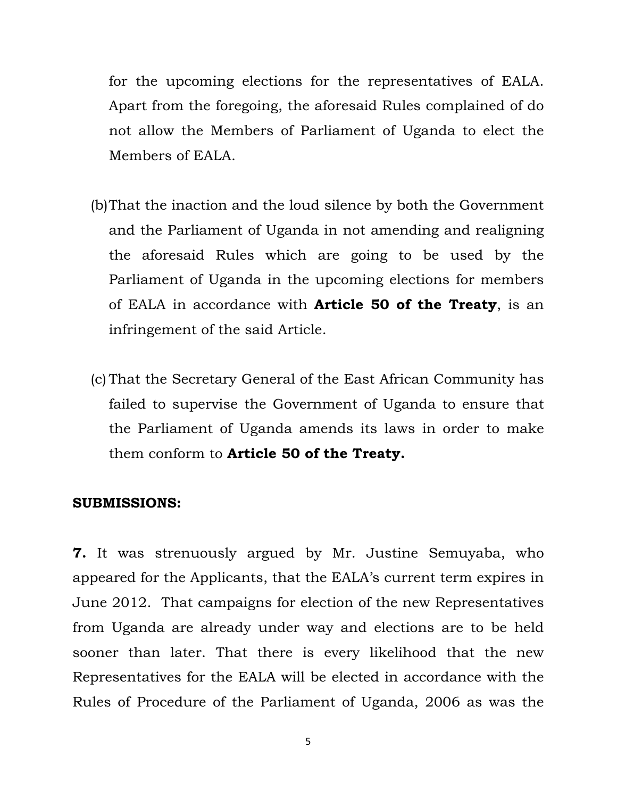for the upcoming elections for the representatives of EALA. Apart from the foregoing, the aforesaid Rules complained of do not allow the Members of Parliament of Uganda to elect the Members of EALA.

- (b)That the inaction and the loud silence by both the Government and the Parliament of Uganda in not amending and realigning the aforesaid Rules which are going to be used by the Parliament of Uganda in the upcoming elections for members of EALA in accordance with **Article 50 of the Treaty**, is an infringement of the said Article.
- (c) That the Secretary General of the East African Community has failed to supervise the Government of Uganda to ensure that the Parliament of Uganda amends its laws in order to make them conform to **Article 50 of the Treaty.**

#### **SUBMISSIONS:**

**7.** It was strenuously argued by Mr. Justine Semuyaba, who appeared for the Applicants, that the EALA's current term expires in June 2012. That campaigns for election of the new Representatives from Uganda are already under way and elections are to be held sooner than later. That there is every likelihood that the new Representatives for the EALA will be elected in accordance with the Rules of Procedure of the Parliament of Uganda, 2006 as was the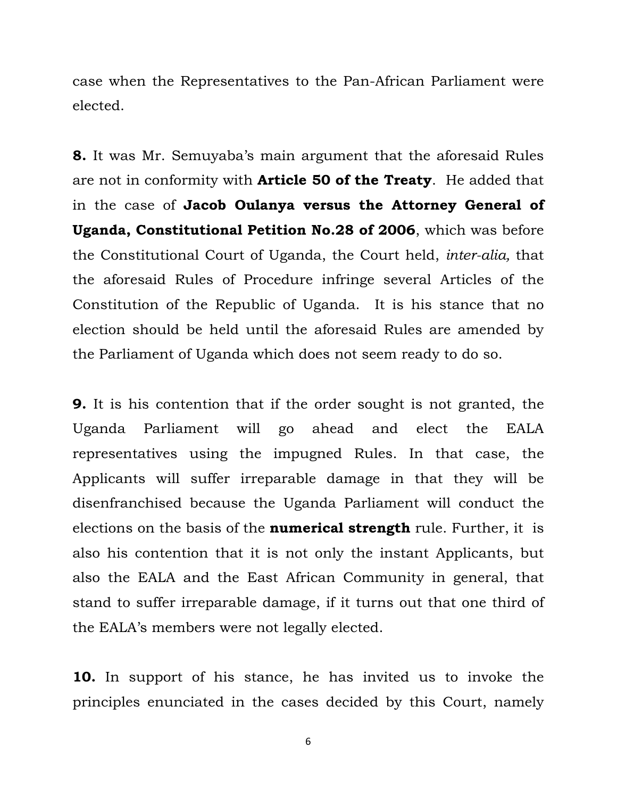case when the Representatives to the Pan-African Parliament were elected.

**8.** It was Mr. Semuyaba's main argument that the aforesaid Rules are not in conformity with **Article 50 of the Treaty**. He added that in the case of **Jacob Oulanya versus the Attorney General of Uganda, Constitutional Petition No.28 of 2006**, which was before the Constitutional Court of Uganda, the Court held, *inter-alia,* that the aforesaid Rules of Procedure infringe several Articles of the Constitution of the Republic of Uganda. It is his stance that no election should be held until the aforesaid Rules are amended by the Parliament of Uganda which does not seem ready to do so.

**9.** It is his contention that if the order sought is not granted, the Uganda Parliament will go ahead and elect the EALA representatives using the impugned Rules. In that case, the Applicants will suffer irreparable damage in that they will be disenfranchised because the Uganda Parliament will conduct the elections on the basis of the **numerical strength** rule. Further, it is also his contention that it is not only the instant Applicants, but also the EALA and the East African Community in general, that stand to suffer irreparable damage, if it turns out that one third of the EALA's members were not legally elected.

**10.** In support of his stance, he has invited us to invoke the principles enunciated in the cases decided by this Court, namely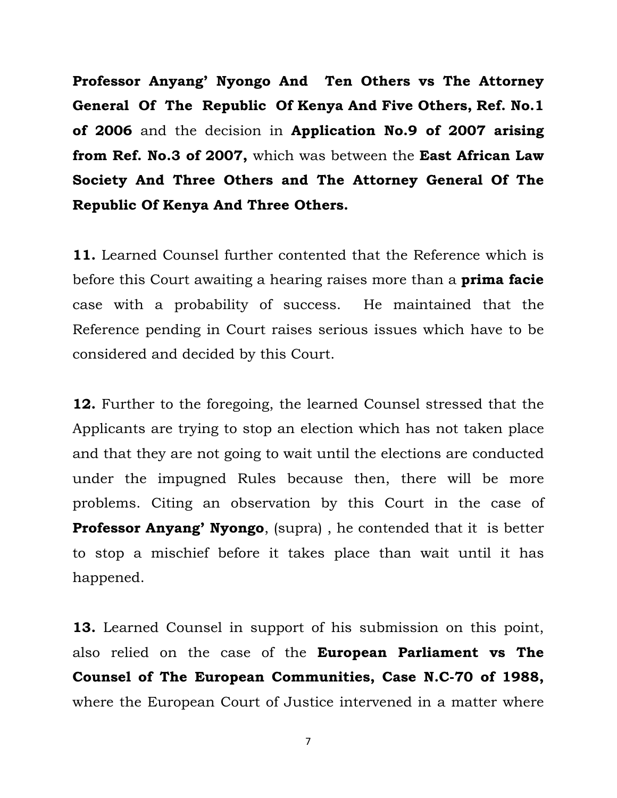**Professor Anyang' Nyongo And Ten Others vs The Attorney General Of The Republic Of Kenya And Five Others, Ref. No.1 of 2006** and the decision in **Application No.9 of 2007 arising from Ref. No.3 of 2007,** which was between the **East African Law Society And Three Others and The Attorney General Of The Republic Of Kenya And Three Others.** 

**11.** Learned Counsel further contented that the Reference which is before this Court awaiting a hearing raises more than a **prima facie** case with a probability of success. He maintained that the Reference pending in Court raises serious issues which have to be considered and decided by this Court.

**12.** Further to the foregoing, the learned Counsel stressed that the Applicants are trying to stop an election which has not taken place and that they are not going to wait until the elections are conducted under the impugned Rules because then, there will be more problems. Citing an observation by this Court in the case of **Professor Anyang' Nyongo**, (supra) , he contended that it is better to stop a mischief before it takes place than wait until it has happened.

**13.** Learned Counsel in support of his submission on this point, also relied on the case of the **European Parliament vs The Counsel of The European Communities, Case N.C-70 of 1988,** where the European Court of Justice intervened in a matter where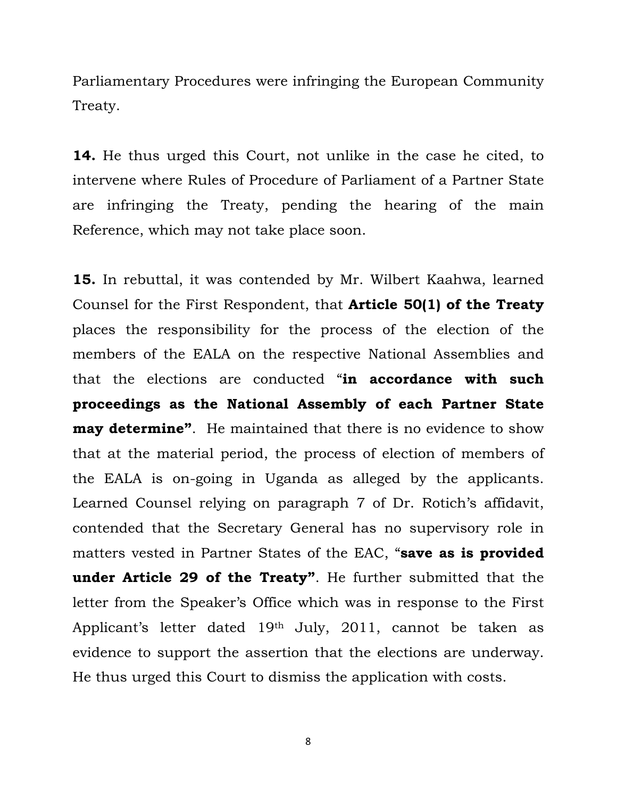Parliamentary Procedures were infringing the European Community Treaty.

**14.** He thus urged this Court, not unlike in the case he cited, to intervene where Rules of Procedure of Parliament of a Partner State are infringing the Treaty, pending the hearing of the main Reference, which may not take place soon.

**15.** In rebuttal, it was contended by Mr. Wilbert Kaahwa, learned Counsel for the First Respondent, that **Article 50(1) of the Treaty** places the responsibility for the process of the election of the members of the EALA on the respective National Assemblies and that the elections are conducted "**in accordance with such proceedings as the National Assembly of each Partner State may determine".** He maintained that there is no evidence to show that at the material period, the process of election of members of the EALA is on-going in Uganda as alleged by the applicants. Learned Counsel relying on paragraph 7 of Dr. Rotich's affidavit, contended that the Secretary General has no supervisory role in matters vested in Partner States of the EAC, "**save as is provided under Article 29 of the Treaty"**. He further submitted that the letter from the Speaker's Office which was in response to the First Applicant's letter dated 19th July, 2011, cannot be taken as evidence to support the assertion that the elections are underway. He thus urged this Court to dismiss the application with costs.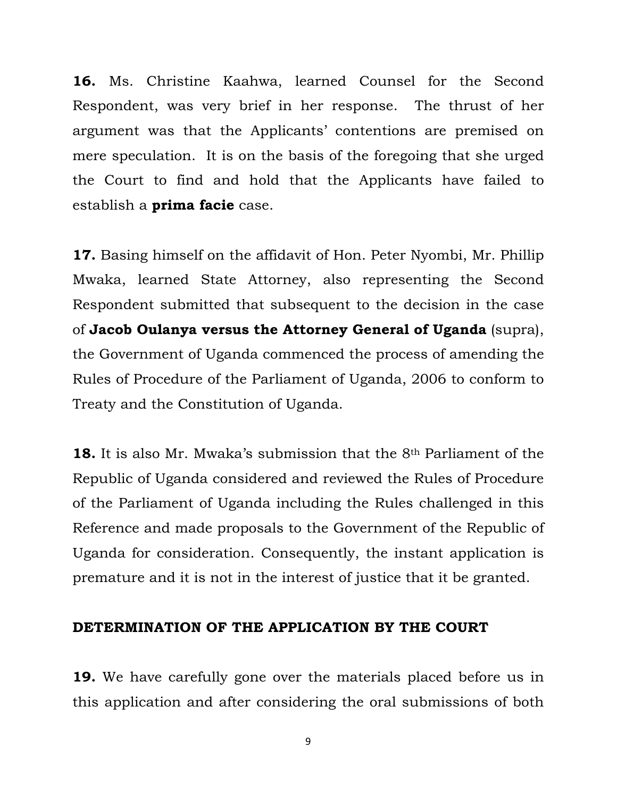**16.** Ms. Christine Kaahwa, learned Counsel for the Second Respondent, was very brief in her response. The thrust of her argument was that the Applicants' contentions are premised on mere speculation. It is on the basis of the foregoing that she urged the Court to find and hold that the Applicants have failed to establish a **prima facie** case.

**17.** Basing himself on the affidavit of Hon. Peter Nyombi, Mr. Phillip Mwaka, learned State Attorney, also representing the Second Respondent submitted that subsequent to the decision in the case of **Jacob Oulanya versus the Attorney General of Uganda** (supra), the Government of Uganda commenced the process of amending the Rules of Procedure of the Parliament of Uganda, 2006 to conform to Treaty and the Constitution of Uganda.

**18.** It is also Mr. Mwaka's submission that the 8th Parliament of the Republic of Uganda considered and reviewed the Rules of Procedure of the Parliament of Uganda including the Rules challenged in this Reference and made proposals to the Government of the Republic of Uganda for consideration. Consequently, the instant application is premature and it is not in the interest of justice that it be granted.

### **DETERMINATION OF THE APPLICATION BY THE COURT**

**19.** We have carefully gone over the materials placed before us in this application and after considering the oral submissions of both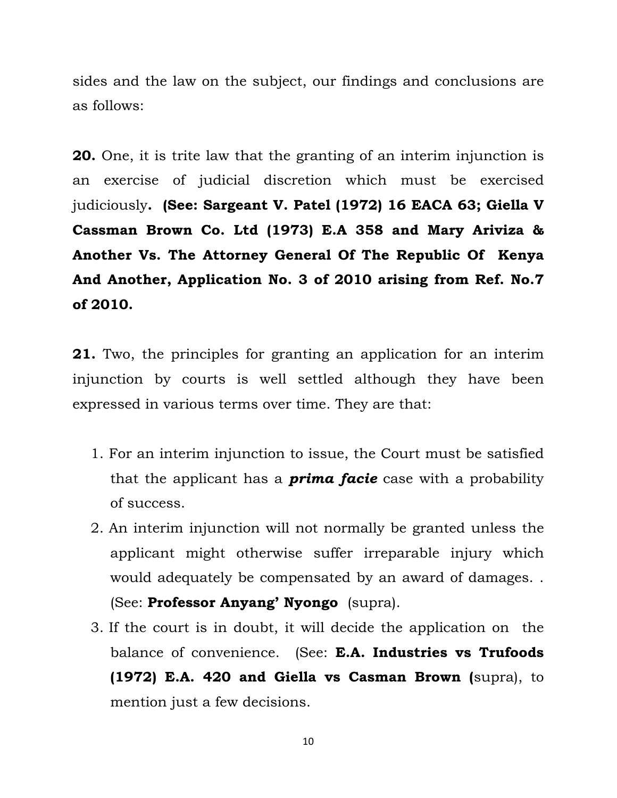sides and the law on the subject, our findings and conclusions are as follows:

**20.** One, it is trite law that the granting of an interim injunction is an exercise of judicial discretion which must be exercised judiciously**. (See: Sargeant V. Patel (1972) 16 EACA 63; Giella V Cassman Brown Co. Ltd (1973) E.A 358 and Mary Ariviza & Another Vs. The Attorney General Of The Republic Of Kenya And Another, Application No. 3 of 2010 arising from Ref. No.7 of 2010.** 

**21.** Two, the principles for granting an application for an interim injunction by courts is well settled although they have been expressed in various terms over time. They are that:

- 1. For an interim injunction to issue, the Court must be satisfied that the applicant has a *prima facie* case with a probability of success.
- 2. An interim injunction will not normally be granted unless the applicant might otherwise suffer irreparable injury which would adequately be compensated by an award of damages. . (See: **Professor Anyang' Nyongo** (supra).
- 3. If the court is in doubt, it will decide the application on the balance of convenience. (See: **E.A. Industries vs Trufoods (1972) E.A. 420 and Giella vs Casman Brown (**supra), to mention just a few decisions.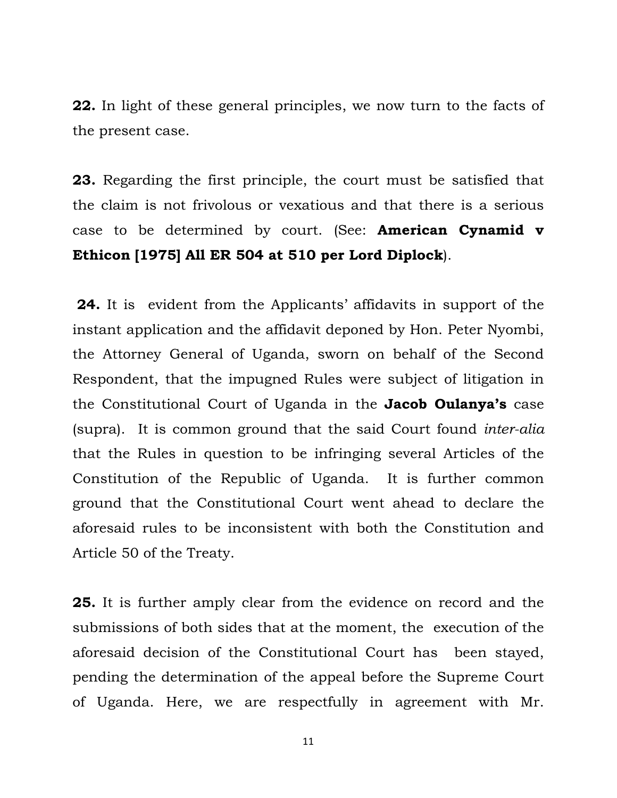**22.** In light of these general principles, we now turn to the facts of the present case.

**23.** Regarding the first principle, the court must be satisfied that the claim is not frivolous or vexatious and that there is a serious case to be determined by court. (See: **American Cynamid v Ethicon [1975] All ER 504 at 510 per Lord Diplock**).

**24.** It is evident from the Applicants' affidavits in support of the instant application and the affidavit deponed by Hon. Peter Nyombi, the Attorney General of Uganda, sworn on behalf of the Second Respondent, that the impugned Rules were subject of litigation in the Constitutional Court of Uganda in the **Jacob Oulanya's** case (supra). It is common ground that the said Court found *inter-alia* that the Rules in question to be infringing several Articles of the Constitution of the Republic of Uganda. It is further common ground that the Constitutional Court went ahead to declare the aforesaid rules to be inconsistent with both the Constitution and Article 50 of the Treaty.

**25.** It is further amply clear from the evidence on record and the submissions of both sides that at the moment, the execution of the aforesaid decision of the Constitutional Court has been stayed, pending the determination of the appeal before the Supreme Court of Uganda. Here, we are respectfully in agreement with Mr.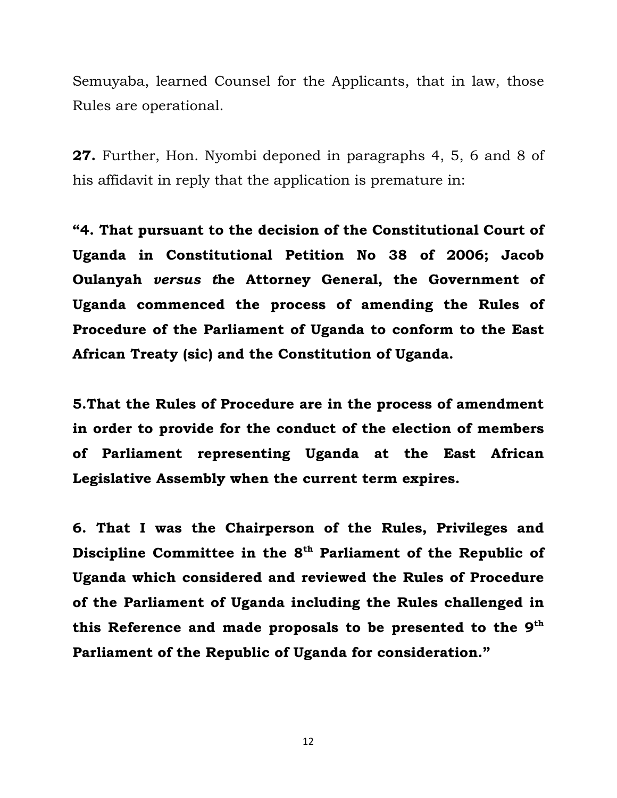Semuyaba, learned Counsel for the Applicants, that in law, those Rules are operational.

**27.** Further, Hon. Nyombi deponed in paragraphs 4, 5, 6 and 8 of his affidavit in reply that the application is premature in:

**"4. That pursuant to the decision of the Constitutional Court of Uganda in Constitutional Petition No 38 of 2006; Jacob Oulanyah** *versus t***he Attorney General, the Government of Uganda commenced the process of amending the Rules of Procedure of the Parliament of Uganda to conform to the East African Treaty (sic) and the Constitution of Uganda.** 

**5.That the Rules of Procedure are in the process of amendment in order to provide for the conduct of the election of members of Parliament representing Uganda at the East African Legislative Assembly when the current term expires.** 

**6. That I was the Chairperson of the Rules, Privileges and**  Discipline Committee in the 8<sup>th</sup> Parliament of the Republic of **Uganda which considered and reviewed the Rules of Procedure of the Parliament of Uganda including the Rules challenged in this Reference and made proposals to be presented to the 9th Parliament of the Republic of Uganda for consideration."**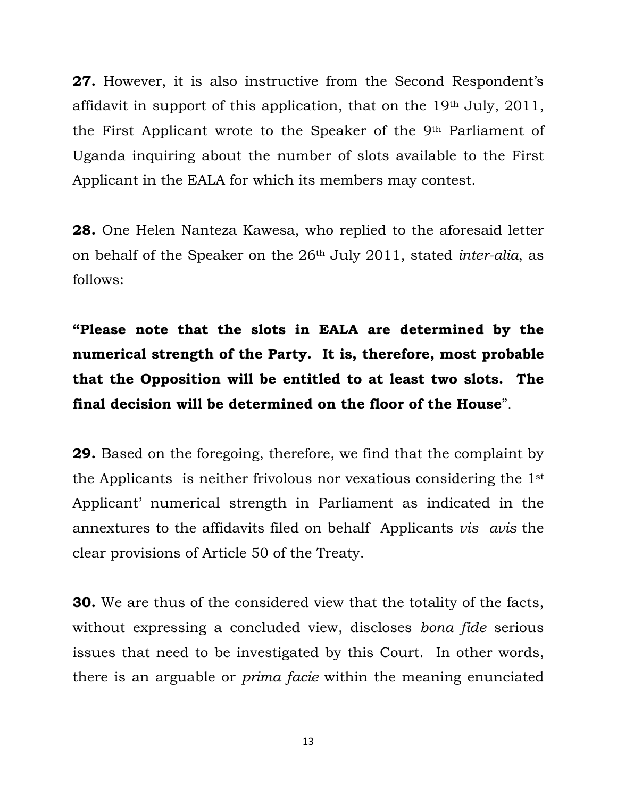**27.** However, it is also instructive from the Second Respondent's affidavit in support of this application, that on the 19th July, 2011, the First Applicant wrote to the Speaker of the 9th Parliament of Uganda inquiring about the number of slots available to the First Applicant in the EALA for which its members may contest.

**28.** One Helen Nanteza Kawesa, who replied to the aforesaid letter on behalf of the Speaker on the 26th July 2011, stated *inter-alia*, as follows:

**"Please note that the slots in EALA are determined by the numerical strength of the Party. It is, therefore, most probable that the Opposition will be entitled to at least two slots. The final decision will be determined on the floor of the House**".

**29.** Based on the foregoing, therefore, we find that the complaint by the Applicants is neither frivolous nor vexatious considering the 1st Applicant' numerical strength in Parliament as indicated in the annextures to the affidavits filed on behalf Applicants *vis avis* the clear provisions of Article 50 of the Treaty.

**30.** We are thus of the considered view that the totality of the facts, without expressing a concluded view, discloses *bona fide* serious issues that need to be investigated by this Court. In other words, there is an arguable or *prima facie* within the meaning enunciated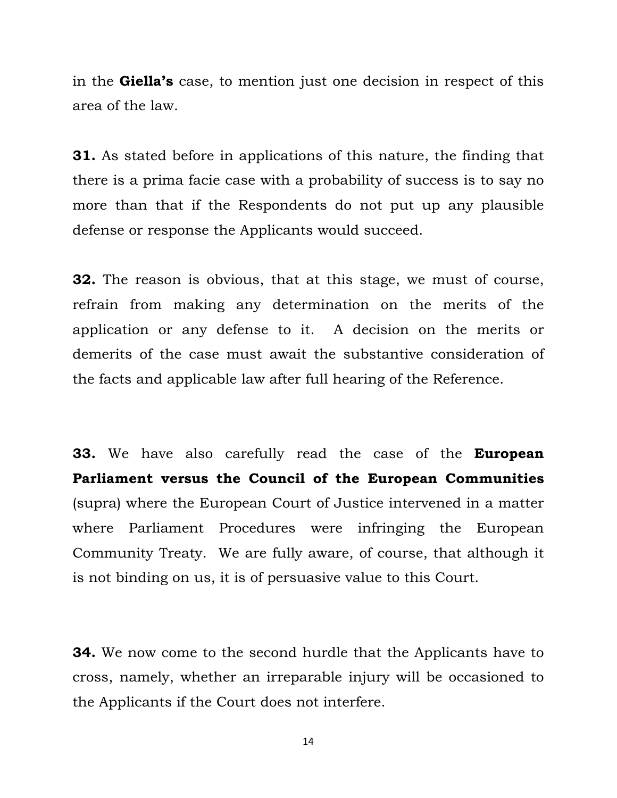in the **Giella's** case, to mention just one decision in respect of this area of the law.

**31.** As stated before in applications of this nature, the finding that there is a prima facie case with a probability of success is to say no more than that if the Respondents do not put up any plausible defense or response the Applicants would succeed.

**32.** The reason is obvious, that at this stage, we must of course, refrain from making any determination on the merits of the application or any defense to it. A decision on the merits or demerits of the case must await the substantive consideration of the facts and applicable law after full hearing of the Reference.

**33.** We have also carefully read the case of the **European Parliament versus the Council of the European Communities** (supra) where the European Court of Justice intervened in a matter where Parliament Procedures were infringing the European Community Treaty. We are fully aware, of course, that although it is not binding on us, it is of persuasive value to this Court.

**34.** We now come to the second hurdle that the Applicants have to cross, namely, whether an irreparable injury will be occasioned to the Applicants if the Court does not interfere.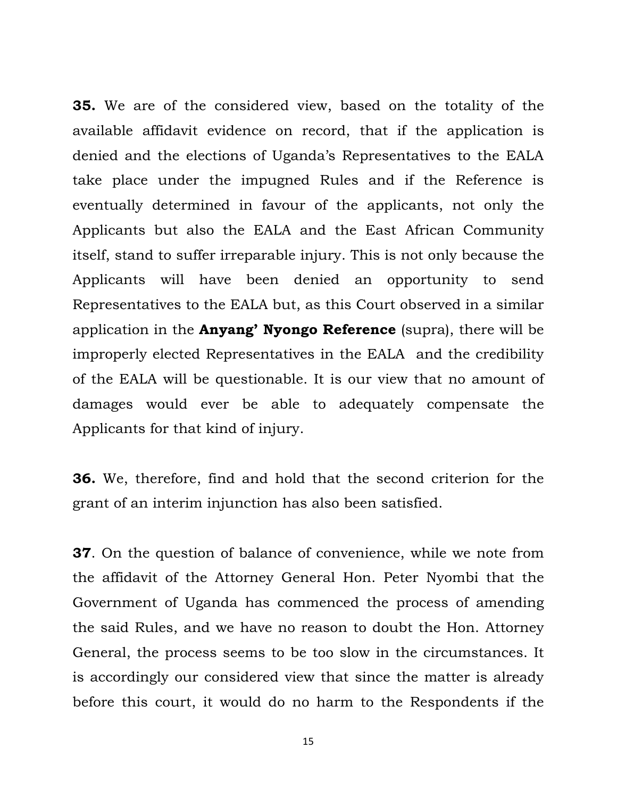**35.** We are of the considered view, based on the totality of the available affidavit evidence on record, that if the application is denied and the elections of Uganda's Representatives to the EALA take place under the impugned Rules and if the Reference is eventually determined in favour of the applicants, not only the Applicants but also the EALA and the East African Community itself, stand to suffer irreparable injury. This is not only because the Applicants will have been denied an opportunity to send Representatives to the EALA but, as this Court observed in a similar application in the **Anyang' Nyongo Reference** (supra), there will be improperly elected Representatives in the EALA and the credibility of the EALA will be questionable. It is our view that no amount of damages would ever be able to adequately compensate the Applicants for that kind of injury.

**36.** We, therefore, find and hold that the second criterion for the grant of an interim injunction has also been satisfied.

**37**. On the question of balance of convenience, while we note from the affidavit of the Attorney General Hon. Peter Nyombi that the Government of Uganda has commenced the process of amending the said Rules, and we have no reason to doubt the Hon. Attorney General, the process seems to be too slow in the circumstances. It is accordingly our considered view that since the matter is already before this court, it would do no harm to the Respondents if the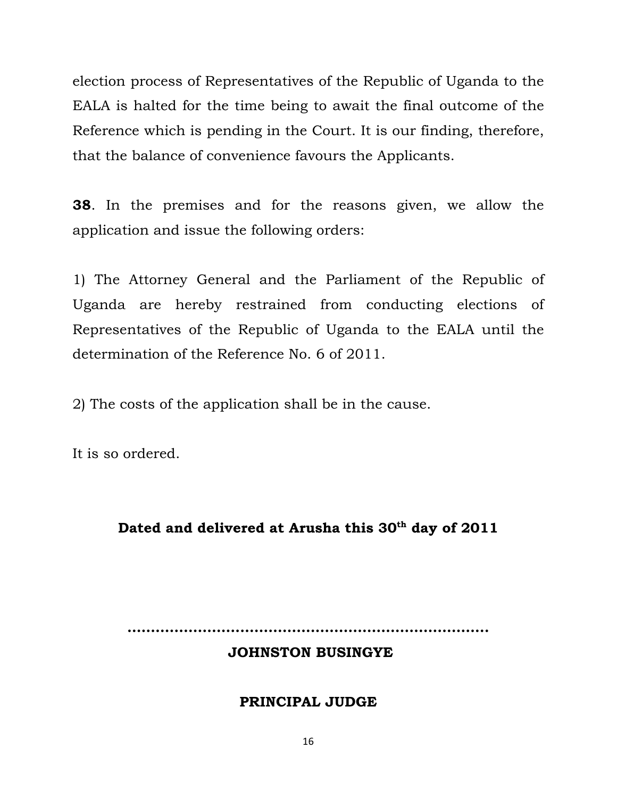election process of Representatives of the Republic of Uganda to the EALA is halted for the time being to await the final outcome of the Reference which is pending in the Court. It is our finding, therefore, that the balance of convenience favours the Applicants.

**38**. In the premises and for the reasons given, we allow the application and issue the following orders:

1) The Attorney General and the Parliament of the Republic of Uganda are hereby restrained from conducting elections of Representatives of the Republic of Uganda to the EALA until the determination of the Reference No. 6 of 2011.

2) The costs of the application shall be in the cause.

It is so ordered.

# Dated and delivered at Arusha this 30<sup>th</sup> day of 2011

**…………………………………………………………………..** 

### **JOHNSTON BUSINGYE**

#### **PRINCIPAL JUDGE**